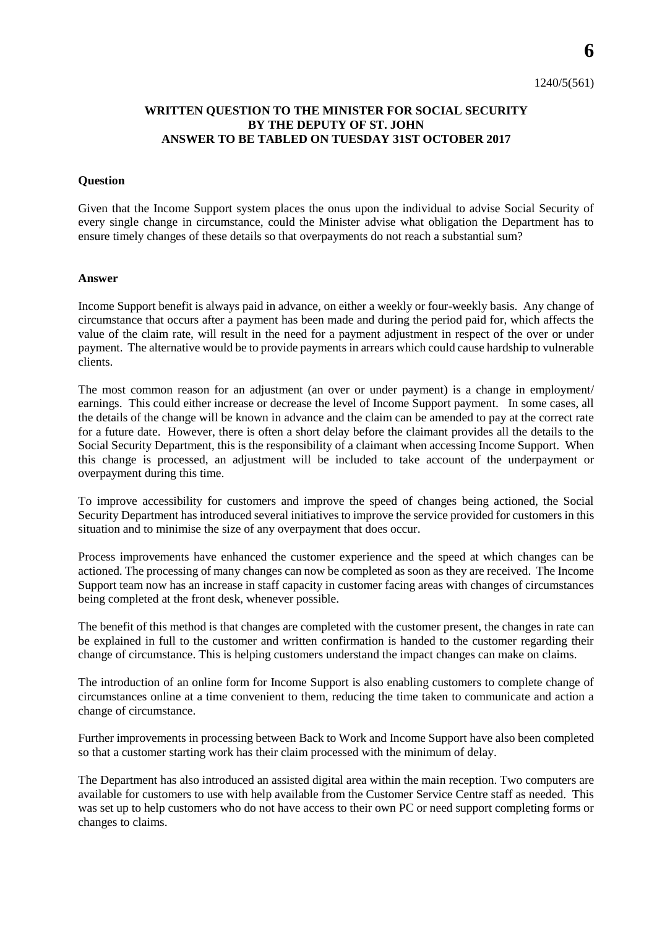## **WRITTEN QUESTION TO THE MINISTER FOR SOCIAL SECURITY BY THE DEPUTY OF ST. JOHN ANSWER TO BE TABLED ON TUESDAY 31ST OCTOBER 2017**

## **Question**

Given that the Income Support system places the onus upon the individual to advise Social Security of every single change in circumstance, could the Minister advise what obligation the Department has to ensure timely changes of these details so that overpayments do not reach a substantial sum?

## **Answer**

Income Support benefit is always paid in advance, on either a weekly or four-weekly basis. Any change of circumstance that occurs after a payment has been made and during the period paid for, which affects the value of the claim rate, will result in the need for a payment adjustment in respect of the over or under payment. The alternative would be to provide payments in arrears which could cause hardship to vulnerable clients.

The most common reason for an adjustment (an over or under payment) is a change in employment/ earnings. This could either increase or decrease the level of Income Support payment. In some cases, all the details of the change will be known in advance and the claim can be amended to pay at the correct rate for a future date. However, there is often a short delay before the claimant provides all the details to the Social Security Department, this is the responsibility of a claimant when accessing Income Support. When this change is processed, an adjustment will be included to take account of the underpayment or overpayment during this time.

To improve accessibility for customers and improve the speed of changes being actioned, the Social Security Department has introduced several initiatives to improve the service provided for customers in this situation and to minimise the size of any overpayment that does occur.

Process improvements have enhanced the customer experience and the speed at which changes can be actioned. The processing of many changes can now be completed as soon as they are received. The Income Support team now has an increase in staff capacity in customer facing areas with changes of circumstances being completed at the front desk, whenever possible.

The benefit of this method is that changes are completed with the customer present, the changes in rate can be explained in full to the customer and written confirmation is handed to the customer regarding their change of circumstance. This is helping customers understand the impact changes can make on claims.

The introduction of an online form for Income Support is also enabling customers to complete change of circumstances online at a time convenient to them, reducing the time taken to communicate and action a change of circumstance.

Further improvements in processing between Back to Work and Income Support have also been completed so that a customer starting work has their claim processed with the minimum of delay.

The Department has also introduced an assisted digital area within the main reception. Two computers are available for customers to use with help available from the Customer Service Centre staff as needed. This was set up to help customers who do not have access to their own PC or need support completing forms or changes to claims.